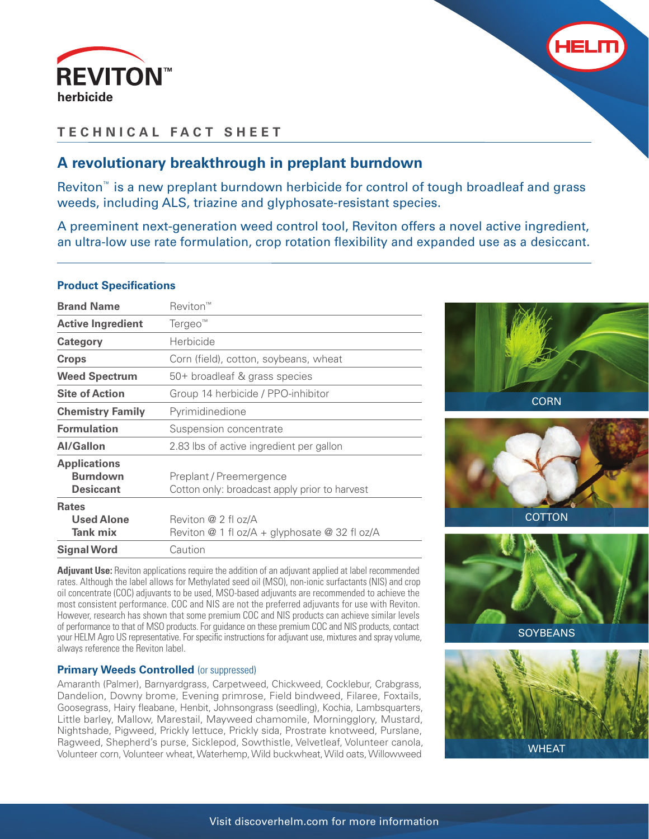



## **TECHNICAL FACT SHEET**

## **A revolutionary breakthrough in preplant burndown**

Reviton™ is a new preplant burndown herbicide for control of tough broadleaf and grass weeds, including ALS, triazine and glyphosate-resistant species.

A preeminent next-generation weed control tool, Reviton offers a novel active ingredient, an ultra-low use rate formulation, crop rotation flexibility and expanded use as a desiccant.

## **Product Specifications**

| <b>Brand Name</b>                                          | Reviton™                                                                 |
|------------------------------------------------------------|--------------------------------------------------------------------------|
| <b>Active Ingredient</b>                                   | Tergeo <sup>™</sup>                                                      |
| <b>Category</b>                                            | Herbicide                                                                |
| <b>Crops</b>                                               | Corn (field), cotton, soybeans, wheat                                    |
| <b>Weed Spectrum</b>                                       | 50+ broadleaf & grass species                                            |
| <b>Site of Action</b>                                      | Group 14 herbicide / PPO-inhibitor                                       |
| <b>Chemistry Family</b>                                    | Pyrimidinedione                                                          |
| <b>Formulation</b>                                         | Suspension concentrate                                                   |
| <b>Al/Gallon</b>                                           | 2.83 lbs of active ingredient per gallon                                 |
| <b>Applications</b><br><b>Burndown</b><br><b>Desiccant</b> | Preplant / Preemergence<br>Cotton only: broadcast apply prior to harvest |
| <b>Rates</b><br><b>Used Alone</b><br>Tank mix              | Reviton @ 2 fl oz/A<br>Reviton @ 1 fl oz/A + glyphosate @ 32 fl oz/A     |
| <b>Signal Word</b>                                         | Caution                                                                  |

**Adjuvant Use:** Reviton applications require the addition of an adjuvant applied at label recommended rates. Although the label allows for Methylated seed oil (MSO), non-ionic surfactants (NIS) and crop oil concentrate (COC) adjuvants to be used, MSO-based adjuvants are recommended to achieve the most consistent performance. COC and NIS are not the preferred adjuvants for use with Reviton. However, research has shown that some premium COC and NIS products can achieve similar levels of performance to that of MSO products. For guidance on these premium COC and NIS products, contact your HELM Agro US representative. For specific instructions for adjuvant use, mixtures and spray volume, always reference the Reviton label.

## **Primary Weeds Controlled (or suppressed)**

Amaranth (Palmer), Barnyardgrass, Carpetweed, Chickweed, Cocklebur, Crabgrass, Dandelion, Downy brome, Evening primrose, Field bindweed, Filaree, Foxtails, Goosegrass, Hairy fleabane, Henbit, Johnsongrass (seedling), Kochia, Lambsquarters, Little barley, Mallow, Marestail, Mayweed chamomile, Morningglory, Mustard, Nightshade, Pigweed, Prickly lettuce, Prickly sida, Prostrate knotweed, Purslane, Ragweed, Shepherd's purse, Sicklepod, Sowthistle, Velvetleaf, Volunteer canola, Volunteer corn, Volunteer wheat, Waterhemp, Wild buckwheat, Wild oats, Willowweed









**SOYBEANS**